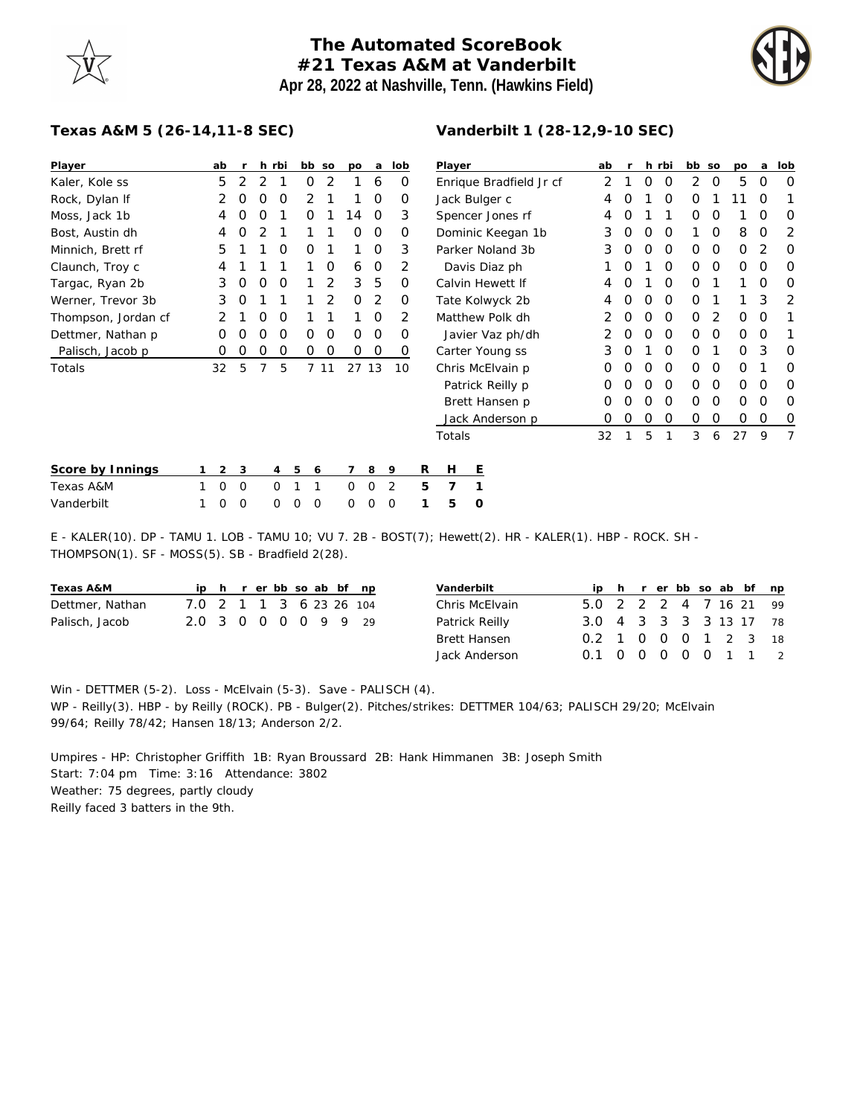## **The Automated ScoreBook #21 Texas A&M at Vanderbilt Apr 28, 2022 at Nashville, Tenn. (Hawkins Field)**



## **Texas A&M 5 (26-14,11-8 SEC)**

| Player              |   | ab       | r        |          | h rbi | bb | <b>SO</b> |               | po       | a        | lob            |   | Player     |                   |  |
|---------------------|---|----------|----------|----------|-------|----|-----------|---------------|----------|----------|----------------|---|------------|-------------------|--|
| Kaler, Kole ss      |   | 5        | 2        | 2        | 1     | 0  |           | 2             | 1        | 6        | O              |   |            | Enrique Bra       |  |
| Rock, Dylan If      |   | 2        | O        | O        | O     | 2  |           | 1             | 1        | 0        | 0              |   |            | Jack Bulger       |  |
| Moss, Jack 1b       |   | 4        | O        | O        | 1     | O  |           | 1             | 14       | O        | 3              |   |            | Spencer Jor       |  |
| Bost, Austin dh     |   | 4        | O        | 2        | 1     | 1  |           | 1             | O        | 0        | 0              |   |            | Dominic Kee       |  |
| Minnich, Brett rf   |   | 5        | 1        | 1        | O     | O  |           | 1             | 1        | O        | 3              |   |            | Parker Nola       |  |
| Claunch, Troy c     |   | 4        | 1        | 1        | 1     | 1  |           | O             | 6        | 0        | 2              |   |            | Davis Diaz        |  |
| Targac, Ryan 2b     |   | 3        | $\Omega$ | 0        | O     | 1  |           | $\mathcal{D}$ | 3        | 5        | 0              |   |            | Calvin Hewe       |  |
| Werner, Trevor 3b   |   | 3        | $\Omega$ | 1        | 1     | 1  |           | 2             | O        | 2        | O              |   |            | Tate Kolwyd       |  |
| Thompson, Jordan cf |   | 2        | 1        | $\Omega$ | O     | 1  |           | 1             | 1        | O        | 2              |   | Matthew Po |                   |  |
| Dettmer, Nathan p   |   | Ω        | O        | O        | O     | Ω  |           | 0             | O        | O        | $\Omega$       |   | Javier Vaz |                   |  |
| Palisch, Jacob p    |   | Ω        | O        | O        | Ο     | Ο  |           | O             | O        | O        | 0              |   |            | Carter Youn       |  |
| Totals              |   | 32       | 5        | 7        | 5     | 7  | 11        |               | 27 13    |          | 10             |   |            | Chris McElva      |  |
|                     |   |          |          |          |       |    |           |               |          |          |                |   |            | Patrick Rei       |  |
|                     |   |          |          |          |       |    |           |               |          |          |                |   |            | <b>Brett Hans</b> |  |
|                     |   |          |          |          |       |    |           |               |          |          |                |   |            | Jack Ander        |  |
|                     |   |          |          |          |       |    |           |               |          |          |                |   | Totals     |                   |  |
|                     |   |          |          |          |       |    |           |               |          |          |                |   |            |                   |  |
| Score by Innings    | 1 | 2        | 3        |          | 4     | 5  | 6         |               | 7        | 8        | 9              | R | Н          | E                 |  |
| Texas A&M           | 1 | $\Omega$ | 0        |          | 0     | 1  | 1         |               | $\Omega$ | $\Omega$ | $\overline{2}$ | 5 | 7          | 1                 |  |

## **Vanderbilt 1 (28-12,9-10 SEC)**

| Player                  | ab | r | h | rbi | bb | SO | po | a | lob |
|-------------------------|----|---|---|-----|----|----|----|---|-----|
| Enrique Bradfield Jr cf | 2  | 1 | Ο | 0   | 2  | Ο  | 5  | O | Ω   |
| Jack Bulger c           | 4  | Ο | 1 | 0   | Ο  | 1  | 11 | O | 1   |
| Spencer Jones rf        | 4  | O | 1 | 1   | Ο  | Ο  | 1  | O | Ω   |
| Dominic Keegan 1b       | 3  | Ο | Ο | O   | 1  | Ο  | 8  | O | 2   |
| Parker Noland 3b        | 3  | O | O | O   | Ο  | Ο  | 0  | 2 | Ω   |
| Davis Diaz ph           | 1  | Ο | 1 | 0   | Ο  | Ο  | 0  | O | Ο   |
| Calvin Hewett If        | 4  | O | 1 | O   | Ο  | 1  | 1  | O | Ο   |
| Tate Kolwyck 2b         | 4  | Ω | Ο | O   | Ο  | 1  | 1  | 3 | 2   |
| Matthew Polk dh         | 2  | O | 0 | O   | Ο  | 2  | 0  | O | 1   |
| Javier Vaz ph/dh        | 2  | O | Ο | O   | Ο  | Ο  | 0  | O | 1   |
| Carter Young ss         | 3  | O | 1 | 0   | Ο  | 1  | 0  | 3 | Ω   |
| Chris McElvain p        | Ω  | Ω | Ο | O   | Ω  | Ω  | Ω  | 1 | Ω   |
| Patrick Reilly p        | Ω  | Ο | Ο | O   | Ο  | Ο  | Ω  | O | Ω   |
| Brett Hansen p          | Ο  | Ο | Ο | O   | Ο  | Ο  | 0  | O | Ο   |
| Jack Anderson p         | ი  | 0 | Ο | 0   | Ο  | Ο  | 0  | O | O   |
| Totals                  | 32 | 1 | 5 | 1   | 3  | 6  | 27 | 9 | 7   |
|                         |    |   |   |     |    |    |    |   |     |

| ________________________ |  |                         |  |  |  |  |  |
|--------------------------|--|-------------------------|--|--|--|--|--|
| Texas A&M                |  | 1 0 0 0 1 1 0 0 2 5 7 1 |  |  |  |  |  |
| Vanderbilt               |  | 100 000 000 15 0        |  |  |  |  |  |

E - KALER(10). DP - TAMU 1. LOB - TAMU 10; VU 7. 2B - BOST(7); Hewett(2). HR - KALER(1). HBP - ROCK. SH - THOMPSON(1). SF - MOSS(5). SB - Bradfield 2(28).

| Texas A&M       |                         |  |  |  | ip h r er bb so ab bf np |
|-----------------|-------------------------|--|--|--|--------------------------|
| Dettmer, Nathan | 7.0 2 1 1 3 6 23 26 104 |  |  |  |                          |
| Palisch, Jacob  | 2.0 3 0 0 0 0 9 9 29    |  |  |  |                          |

| Vanderbilt          |                        |  |  |  | ip h r er bb so ab bf np |
|---------------------|------------------------|--|--|--|--------------------------|
| Chris McElvain      | 5.0 2 2 2 4 7 16 21 99 |  |  |  |                          |
| Patrick Reilly      | 3.0 4 3 3 3 3 13 17 78 |  |  |  |                          |
| <b>Brett Hansen</b> | 0.2 1 0 0 0 1 2 3 18   |  |  |  |                          |
| Jack Anderson       | 0.1 0 0 0 0 0 1 1 2    |  |  |  |                          |

Win - DETTMER (5-2). Loss - McElvain (5-3). Save - PALISCH (4). WP - Reilly(3). HBP - by Reilly (ROCK). PB - Bulger(2). Pitches/strikes: DETTMER 104/63; PALISCH 29/20; McElvain 99/64; Reilly 78/42; Hansen 18/13; Anderson 2/2.

Umpires - HP: Christopher Griffith 1B: Ryan Broussard 2B: Hank Himmanen 3B: Joseph Smith Start: 7:04 pm Time: 3:16 Attendance: 3802 Weather: 75 degrees, partly cloudy Reilly faced 3 batters in the 9th.